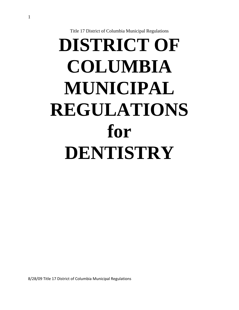Title 17 District of Columbia Municipal Regulations

# **DISTRICT OF COLUMBIA MUNICIPAL REGULATIONS for DENTISTRY**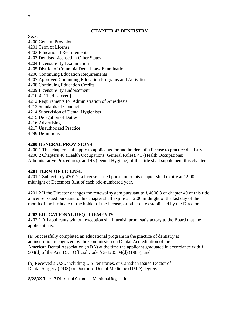#### **CHAPTER 42 DENTISTRY**

Secs.

4200 General Provisions 4201 Term of License 4202 Educational Requirements 4203 Dentists Licensed in Other States 4204 Licensure By Examination 4205 District of Columbia Dental Law Examination 4206 Continuing Education Requirements 4207 Approved Continuing Education Programs and Activities 4208 Continuing Education Credits 4209 Licensure By Endorsement 4210-4211 **[Reserved]**  4212 Requirements for Administration of Anesthesia 4213 Standards of Conduct 4214 Supervision of Dental Hygienists 4215 Delegation of Duties 4216 Advertising 4217 Unauthorized Practice 4299 Definitions

#### **4200 GENERAL PROVISIONS**

4200.1 This chapter shall apply to applicants for and holders of a license to practice dentistry. 4200.2 Chapters 40 (Health Occupations: General Rules), 41 (Health Occupations: Administrative Procedures), and 43 (Dental Hygiene) of this title shall supplement this chapter.

#### **4201 TERM OF LICENSE**

4201.1 Subject to § 4201.2, a license issued pursuant to this chapter shall expire at 12:00 midnight of December 31st of each odd-numbered year.

4201.2 If the Director changes the renewal system pursuant to § 4006.3 of chapter 40 of this title, a license issued pursuant to this chapter shall expire at 12:00 midnight of the last day of the month of the birthdate of the holder of the license, or other date established by the Director.

#### **4202 EDUCATIONAL REQUIREMENTS**

4202.1 All applicants without exception shall furnish proof satisfactory to the Board that the applicant has:

(a) Successfully completed an educational program in the practice of dentistry at an institution recognized by the Commission on Dental Accreditation of the American Dental Association (ADA) at the time the applicant graduated in accordance with § 504(d) of the Act, D.C. Official Code § 3-1205.04(d) (1985); and

(b) Received a U.S., including U.S. territories, or Canadian issued Doctor of Dental Surgery (DDS) or Doctor of Dental Medicine (DMD) degree.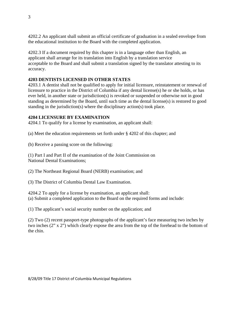4202.2 An applicant shall submit an official certificate of graduation in a sealed envelope from the educational institution to the Board with the completed application.

4202.3 If a document required by this chapter is in a language other than English, an applicant shall arrange for its translation into English by a translation service acceptable to the Board and shall submit a translation signed by the translator attesting to its accuracy.

# **4203 DENTISTS LICENSED IN OTHER STATES**

4203.1 A dentist shall not be qualified to apply for initial licensure, reinstatement or renewal of licensure to practice in the District of Columbia if any dental license(s) he or she holds, or has ever held, in another state or jurisdiction(s) is revoked or suspended or otherwise not in good standing as determined by the Board, until such time as the dental license(s) is restored to good standing in the jurisdiction(s) where the disciplinary action(s) took place.

# **4204 LICENSURE BY EXAMINATION**

4204.1 To qualify for a license by examination, an applicant shall:

(a) Meet the education requirements set forth under § 4202 of this chapter; and

(b) Receive a passing score on the following:

(1) Part I and Part II of the examination of the Joint Commission on National Dental Examinations;

(2) The Northeast Regional Board (NERB) examination; and

(3) The District of Columbia Dental Law Examination.

4204.2 To apply for a license by examination, an applicant shall: (a) Submit a completed application to the Board on the required forms and include:

(1) The applicant's social security number on the application; and

(2) Two (2) recent passport-type photographs of the applicant's face measuring two inches by two inches (2" x 2") which clearly expose the area from the top of the forehead to the bottom of the chin.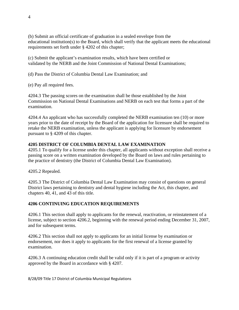(b) Submit an official certificate of graduation in a sealed envelope from the educational institution(s) to the Board, which shall verify that the applicant meets the educational requirements set forth under § 4202 of this chapter;

(c) Submit the applicant's examination results, which have been certified or validated by the NERB and the Joint Commission of National Dental Examinations;

(d) Pass the District of Columbia Dental Law Examination; and

(e) Pay all required fees.

4204.3 The passing scores on the examination shall be those established by the Joint Commission on National Dental Examinations and NERB on each test that forms a part of the examination.

4204.4 An applicant who has successfully completed the NERB examination ten (10) or more years prior to the date of receipt by the Board of the application for licensure shall be required to retake the NERB examination, unless the applicant is applying for licensure by endorsement pursuant to § 4209 of this chapter.

# **4205 DISTRICT OF COLUMBIA DENTAL LAW EXAMINATION**

4205.1 To qualify for a license under this chapter, all applicants without exception shall receive a passing score on a written examination developed by the Board on laws and rules pertaining to the practice of dentistry (the District of Columbia Dental Law Examination).

4205.2 Repealed.

4205.3 The District of Columbia Dental Law Examination may consist of questions on general District laws pertaining to dentistry and dental hygiene including the Act, this chapter, and chapters 40, 41, and 43 of this title.

## **4206 CONTINUING EDUCATION REQUIREMENTS**

4206.1 This section shall apply to applicants for the renewal, reactivation, or reinstatement of a license, subject to section 4206.2, beginning with the renewal period ending December 31, 2007, and for subsequent terms.

4206.2 This section shall not apply to applicants for an initial license by examination or endorsement, nor does it apply to applicants for the first renewal of a license granted by examination.

4206.3 A continuing education credit shall be valid only if it is part of a program or activity approved by the Board in accordance with § 4207.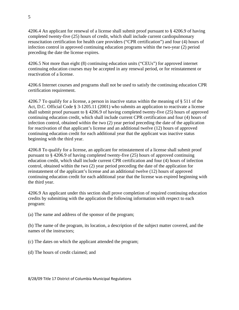4206.4 An applicant for renewal of a license shall submit proof pursuant to § 4206.9 of having completed twenty-five (25) hours of credit, which shall include current cardiopulmonary resuscitation certification for health care providers ("CPR certification") and four (4) hours of infection control in approved continuing education programs within the two-year (2) period preceding the date the license expires.

4206.5 Not more than eight (8) continuing education units ("CEUs") for approved internet continuing education courses may be accepted in any renewal period, or for reinstatement or reactivation of a license.

4206.6 Internet courses and programs shall not be used to satisfy the continuing education CPR certification requirement.

4206.7 To qualify for a license, a person in inactive status within the meaning of § 511 of the Act, D.C. Official Code § 3-1205.11 (2001) who submits an application to reactivate a license shall submit proof pursuant to § 4206.9 of having completed twenty-five (25) hours of approved continuing education credit, which shall include current CPR certification and four (4) hours of infection control, obtained within the two (2) year period preceding the date of the application for reactivation of that applicant's license and an additional twelve (12) hours of approved continuing education credit for each additional year that the applicant was inactive status beginning with the third year.

4206.8 To qualify for a license, an applicant for reinstatement of a license shall submit proof pursuant to § 4206.9 of having completed twenty-five (25) hours of approved continuing education credit, which shall include current CPR certification and four (4) hours of infection control, obtained within the two (2) year period preceding the date of the application for reinstatement of the applicant's license and an additional twelve (12) hours of approved continuing education credit for each additional year that the license was expired beginning with the third year.

4206.9 An applicant under this section shall prove completion of required continuing education credits by submitting with the application the following information with respect to each program:

(a) The name and address of the sponsor of the program;

(b) The name of the program, its location, a description of the subject matter covered, and the names of the instructors;

(c) The dates on which the applicant attended the program;

(d) The hours of credit claimed; and

5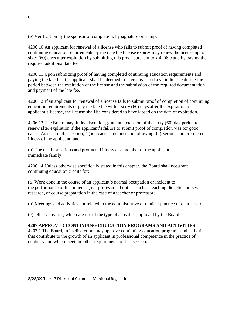(e) Verification by the sponsor of completion, by signature or stamp.

4206.10 An applicant for renewal of a license who fails to submit proof of having completed continuing education requirements by the date the license expires may renew the license up to sixty (60) days after expiration by submitting this proof pursuant to § 4206.9 and by paying the required additional late fee.

4206.11 Upon submitting proof of having completed continuing education requirements and paying the late fee, the applicant shall be deemed to have possessed a valid license during the period between the expiration of the license and the submission of the required documentation and payment of the late fee.

4206.12 If an applicant for renewal of a license fails to submit proof of completion of continuing education requirements or pay the late fee within sixty (60) days after the expiration of applicant's license, the license shall be considered to have lapsed on the date of expiration.

4206.13 The Board may, in its discretion, grant an extension of the sixty (60) day period to renew after expiration if the applicant's failure to submit proof of completion was for good cause. As used in this section, "good cause" includes the following: (a) Serious and protracted illness of the applicant; and

(b) The death or serious and protracted illness of a member of the applicant's immediate family.

4206.14 Unless otherwise specifically stated in this chapter, the Board shall not grant continuing education credits for:

(a) Work done in the course of an applicant's normal occupation or incident to the performance of his or her regular professional duties, such as teaching didactic courses, research, or course preparation in the case of a teacher or professor;

(b) Meetings and activities not related to the administrative or clinical practice of dentistry; or

(c) Other activities, which are not of the type of activities approved by the Board.

## **4207 APPROVED CONTINUING EDUCATION PROGRAMS AND ACTIVITIES**

4207.1 The Board, in its discretion, may approve continuing education programs and activities that contribute to the growth of an applicant in professional competence in the practice of dentistry and which meet the other requirements of this section.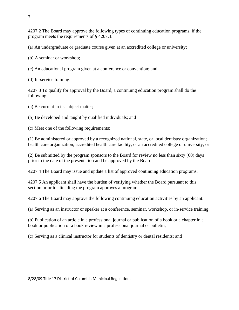4207.2 The Board may approve the following types of continuing education programs, if the program meets the requirements of § 4207.3:

(a) An undergraduate or graduate course given at an accredited college or university;

(b) A seminar or workshop;

(c) An educational program given at a conference or convention; and

(d) In-service training.

4207.3 To qualify for approval by the Board, a continuing education program shall do the following:

(a) Be current in its subject matter;

(b) Be developed and taught by qualified individuals; and

(c) Meet one of the following requirements:

(1) Be administered or approved by a recognized national, state, or local dentistry organization; health care organization; accredited health care facility; or an accredited college or university; or

(2) Be submitted by the program sponsors to the Board for review no less than sixty (60) days prior to the date of the presentation and be approved by the Board.

4207.4 The Board may issue and update a list of approved continuing education programs.

4207.5 An applicant shall have the burden of verifying whether the Board pursuant to this section prior to attending the program approves a program.

4207.6 The Board may approve the following continuing education activities by an applicant:

(a) Serving as an instructor or speaker at a conference, seminar, workshop, or in-service training;

(b) Publication of an article in a professional journal or publication of a book or a chapter in a book or publication of a book review in a professional journal or bulletin;

(c) Serving as a clinical instructor for students of dentistry or dental residents; and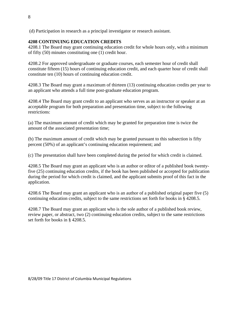(d) Participation in research as a principal investigator or research assistant.

## **4208 CONTINUING EDUCATION CREDITS**

4208.1 The Board may grant continuing education credit for whole hours only, with a minimum of fifty (50) minutes constituting one (1) credit hour.

4208.2 For approved undergraduate or graduate courses, each semester hour of credit shall constitute fifteen (15) hours of continuing education credit, and each quarter hour of credit shall constitute ten (10) hours of continuing education credit.

4208.3 The Board may grant a maximum of thirteen (13) continuing education credits per year to an applicant who attends a full time post-graduate education program.

4208.4 The Board may grant credit to an applicant who serves as an instructor or speaker at an acceptable program for both preparation and presentation time, subject to the following restrictions:

(a) The maximum amount of credit which may be granted for preparation time is twice the amount of the associated presentation time;

(b) The maximum amount of credit which may be granted pursuant to this subsection is fifty percent (50%) of an applicant's continuing education requirement; and

(c) The presentation shall have been completed during the period for which credit is claimed.

4208.5 The Board may grant an applicant who is an author or editor of a published book twentyfive (25) continuing education credits, if the book has been published or accepted for publication during the period for which credit is claimed, and the applicant submits proof of this fact in the application.

4208.6 The Board may grant an applicant who is an author of a published original paper five (5) continuing education credits, subject to the same restrictions set forth for books in § 4208.5.

4208.7 The Board may grant an applicant who is the sole author of a published book review, review paper, or abstract, two (2) continuing education credits, subject to the same restrictions set forth for books in § 4208.5.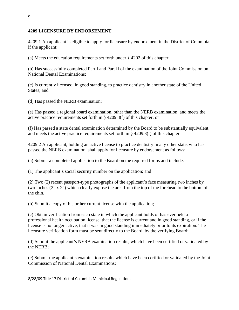#### **4209 LICENSURE BY ENDORSEMENT**

4209.1 An applicant is eligible to apply for licensure by endorsement in the District of Columbia if the applicant:

(a) Meets the education requirements set forth under § 4202 of this chapter;

(b) Has successfully completed Part I and Part II of the examination of the Joint Commission on National Dental Examinations;

(c) Is currently licensed, in good standing, to practice dentistry in another state of the United States; and

(d) Has passed the NERB examination;

(e) Has passed a regional board examination, other than the NERB examination, and meets the active practice requirements set forth in § 4209.3(f) of this chapter; or

(f) Has passed a state dental examination determined by the Board to be substantially equivalent, and meets the active practice requirements set forth in § 4209.3(f) of this chapter.

4209.2 An applicant, holding an active license to practice dentistry in any other state, who has passed the NERB examination, shall apply for licensure by endorsement as follows:

(a) Submit a completed application to the Board on the required forms and include:

(1) The applicant's social security number on the application; and

(2) Two (2) recent passport-type photographs of the applicant's face measuring two inches by two inches (2" x 2") which clearly expose the area from the top of the forehead to the bottom of the chin.

(b) Submit a copy of his or her current license with the application;

(c) Obtain verification from each state in which the applicant holds or has ever held a professional health occupation license, that the license is current and in good standing, or if the license is no longer active, that it was in good standing immediately prior to its expiration. The licensure verification form must be sent directly to the Board, by the verifying Board;

(d) Submit the applicant's NERB examination results, which have been certified or validated by the NERB;

(e) Submit the applicant's examination results which have been certified or validated by the Joint Commission of National Dental Examinations;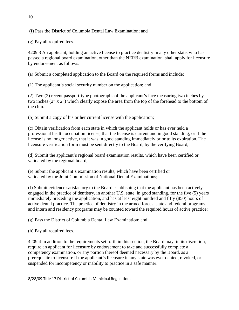(f) Pass the District of Columbia Dental Law Examination; and

(g) Pay all required fees.

4209.3 An applicant, holding an active license to practice dentistry in any other state, who has passed a regional board examination, other than the NERB examination, shall apply for licensure by endorsement as follows:

(a) Submit a completed application to the Board on the required forms and include:

(1) The applicant's social security number on the application; and

(2) Two (2) recent passport-type photographs of the applicant's face measuring two inches by two inches (2" x 2") which clearly expose the area from the top of the forehead to the bottom of the chin.

(b) Submit a copy of his or her current license with the application;

(c) Obtain verification from each state in which the applicant holds or has ever held a professional health occupation license, that the license is current and in good standing, or if the license is no longer active, that it was in good standing immediately prior to its expiration. The licensure verification form must be sent directly to the Board, by the verifying Board;

(d) Submit the applicant's regional board examination results, which have been certified or validated by the regional board;

(e) Submit the applicant's examination results, which have been certified or validated by the Joint Commission of National Dental Examinations;

(f) Submit evidence satisfactory to the Board establishing that the applicant has been actively engaged in the practice of dentistry, in another U.S. state, in good standing, for the five (5) years immediately preceding the application, and has at least eight hundred and fifty (850) hours of active dental practice. The practice of dentistry in the armed forces, state and federal programs, and intern and residency programs may be counted toward the required hours of active practice;

(g) Pass the District of Columbia Dental Law Examination; and

(h) Pay all required fees.

4209.4 In addition to the requirements set forth in this section, the Board may, in its discretion, require an applicant for licensure by endorsement to take and successfully complete a competency examination, or any portion thereof deemed necessary by the Board, as a prerequisite to licensure if the applicant's licensure in any state was ever denied, revoked, or suspended for incompetency or inability to practice in a safe manner.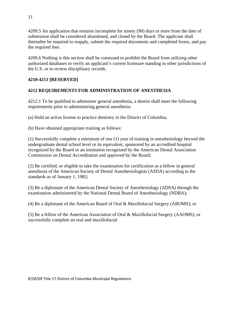4209.5 An application that remains incomplete for ninety (90) days or more from the date of submission shall be considered abandoned, and closed by the Board. The applicant shall thereafter be required to reapply, submit the required documents and completed forms, and pay the required fees.

4209.6 Nothing is this section shall be construed to prohibit the Board from utilizing other authorized databases to verify an applicant's current licensure standing in other jurisdictions of the U.S. or to review disciplinary records.

# **4210-4211 [RESERVED]**

# **4212 REQUIREMENTS FOR ADMINISTRATION OF ANESTHESIA**

4212.1 To be qualified to administer general anesthesia, a dentist shall meet the following requirements prior to administering general anesthesia:

(a) Hold an active license to practice dentistry in the District of Columbia;

(b) Have obtained appropriate training as follows:

(1) Successfully complete a minimum of one (1) year of training in anesthesiology beyond the undergraduate dental school level or its equivalent, sponsored by an accredited hospital recognized by the Board or an institution recognized by the American Dental Association Commission on Dental Accreditation and approved by the Board;

(2) Be certified, or eligible to take the examination for certification as a fellow in general anesthesia of the American Society of Dental Anesthesiologists (ASDA) according to the standards as of January 1, 1982;

(3) Be a diplomate of the American Dental Society of Anesthesiology (ADSA) through the examination administered by the National Dental Board of Anesthesiology (NDBA);

(4) Be a diplomate of the American Board of Oral & Maxillofacial Surgery (ABOMS); or

(5) Be a fellow of the American Association of Oral & Maxillofacial Surgery (AAOMS), or successfully complete an oral and maxillofacial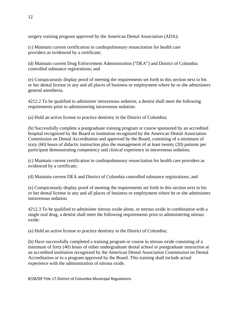surgery training program approved by the American Dental Association (ADA);

(c) Maintain current certification in cardiopulmonary resuscitation for health care providers as evidenced by a certificate;

(d) Maintain current Drug Enforcement Administration ("DEA") and District of Columbia controlled substance registrations; and

(e) Conspicuously display proof of meeting the requirements set forth in this section next to his or her dental license in any and all places of business or employment where he or she administers general anesthesia.

4212.2 To be qualified to administer intravenous sedation, a dentist shall meet the following requirements prior to administering intravenous sedation:

(a) Hold an active license to practice dentistry in the District of Columbia;

(b) Successfully complete a postgraduate training program or course sponsored by an accredited hospital recognized by the Board or institution recognized by the American Dental Association Commission on Dental Accreditation and approved by the Board, consisting of a minimum of sixty (60) hours of didactic instruction plus the management of at least twenty (20) patients per participant demonstrating competency and clinical experience in intravenous sedation;

(c) Maintain current certification in cardiopulmonary resuscitation for health care providers as evidenced by a certificate;

(d) Maintain current DEA and District of Columbia controlled substance registrations; and

(e) Conspicuously display proof of meeting the requirements set forth in this section next to his or her dental license in any and all places of business or employment where he or she administers intravenous sedation.

4212.3 To be qualified to administer nitrous oxide alone, or nitrous oxide in combination with a single oral drug, a dentist shall meet the following requirements prior to administering nitrous oxide:

(a) Hold an active license to practice dentistry in the District of Columbia;

(b) Have successfully completed a training program or course in nitrous oxide consisting of a minimum of forty (40) hours of either undergraduate dental school or postgraduate instruction at an accredited institution recognized by the American Dental Association Commission on Dental Accreditation or in a program approved by the Board. This training shall include actual experience with the administration of nitrous oxide.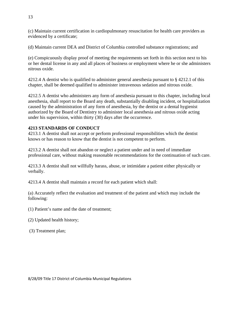(c) Maintain current certification in cardiopulmonary resuscitation for health care providers as evidenced by a certificate;

(d) Maintain current DEA and District of Columbia controlled substance registrations; and

(e) Conspicuously display proof of meeting the requirements set forth in this section next to his or her dental license in any and all places of business or employment where he or she administers nitrous oxide.

4212.4 A dentist who is qualified to administer general anesthesia pursuant to § 4212.1 of this chapter, shall be deemed qualified to administer intravenous sedation and nitrous oxide.

4212.5 A dentist who administers any form of anesthesia pursuant to this chapter, including local anesthesia, shall report to the Board any death, substantially disabling incident, or hospitalization caused by the administration of any form of anesthesia, by the dentist or a dental hygienist authorized by the Board of Dentistry to administer local anesthesia and nitrous oxide acting under his supervision, within thirty (30) days after the occurrence.

# **4213 STANDARDS OF CONDUCT**

4213.1 A dentist shall not accept or perform professional responsibilities which the dentist knows or has reason to know that the dentist is not competent to perform.

4213.2 A dentist shall not abandon or neglect a patient under and in need of immediate professional care, without making reasonable recommendations for the continuation of such care.

4213.3 A dentist shall not willfully harass, abuse, or intimidate a patient either physically or verbally.

4213.4 A dentist shall maintain a record for each patient which shall:

(a) Accurately reflect the evaluation and treatment of the patient and which may include the following:

(1) Patient's name and the date of treatment;

(2) Updated health history;

(3) Treatment plan;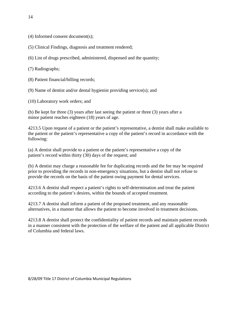- (4) Informed consent document(s);
- (5) Clinical Findings, diagnosis and treatment rendered;
- (6) List of drugs prescribed, administered, dispensed and the quantity;
- (7) Radiographs;
- (8) Patient financial/billing records;
- (9) Name of dentist and/or dental hygienist providing service(s); and
- (10) Laboratory work orders; and

(b) Be kept for three (3) years after last seeing the patient or three (3) years after a minor patient reaches eighteen (18) years of age.

4213.5 Upon request of a patient or the patient's representative, a dentist shall make available to the patient or the patient's representative a copy of the patient's record in accordance with the following:

(a) A dentist shall provide to a patient or the patient's representative a copy of the patient's record within thirty (30) days of the request; and

(b) A dentist may charge a reasonable fee for duplicating records and the fee may be required prior to providing the records in non-emergency situations, but a dentist shall not refuse to provide the records on the basis of the patient owing payment for dental services.

4213.6 A dentist shall respect a patient's rights to self-determination and treat the patient according to the patient's desires, within the bounds of accepted treatment.

4213.7 A dentist shall inform a patient of the proposed treatment, and any reasonable alternatives, in a manner that allows the patient to become involved in treatment decisions.

4213.8 A dentist shall protect the confidentiality of patient records and maintain patient records in a manner consistent with the protection of the welfare of the patient and all applicable District of Columbia and federal laws.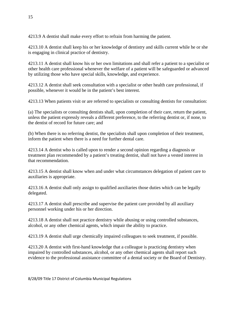4213.9 A dentist shall make every effort to refrain from harming the patient.

4213.10 A dentist shall keep his or her knowledge of dentistry and skills current while he or she is engaging in clinical practice of dentistry.

4213.11 A dentist shall know his or her own limitations and shall refer a patient to a specialist or other health care professional whenever the welfare of a patient will be safeguarded or advanced by utilizing those who have special skills, knowledge, and experience.

4213.12 A dentist shall seek consultation with a specialist or other health care professional, if possible, whenever it would be in the patient's best interest.

4213.13 When patients visit or are referred to specialists or consulting dentists for consultation:

(a) The specialists or consulting dentists shall, upon completion of their care, return the patient, unless the patient expressly reveals a different preference, to the referring dentist or, if none, to the dentist of record for future care; and

(b) When there is no referring dentist, the specialists shall upon completion of their treatment, inform the patient when there is a need for further dental care.

4213.14 A dentist who is called upon to render a second opinion regarding a diagnosis or treatment plan recommended by a patient's treating dentist, shall not have a vested interest in that recommendation.

4213.15 A dentist shall know when and under what circumstances delegation of patient care to auxiliaries is appropriate.

4213.16 A dentist shall only assign to qualified auxiliaries those duties which can be legally delegated.

4213.17 A dentist shall prescribe and supervise the patient care provided by all auxiliary personnel working under his or her direction.

4213.18 A dentist shall not practice dentistry while abusing or using controlled substances, alcohol, or any other chemical agents, which impair the ability to practice.

4213.19 A dentist shall urge chemically impaired colleagues to seek treatment, if possible.

4213.20 A dentist with first-hand knowledge that a colleague is practicing dentistry when impaired by controlled substances, alcohol, or any other chemical agents shall report such evidence to the professional assistance committee of a dental society or the Board of Dentistry.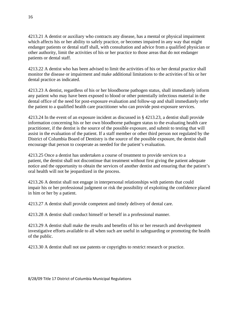4213.21 A dentist or auxiliary who contracts any disease, has a mental or physical impairment which affects his or her ability to safely practice, or becomes impaired in any way that might endanger patients or dental staff shall, with consultation and advice from a qualified physician or other authority, limit the activities of his or her practice to those areas that do not endanger patients or dental staff.

4213.22 A dentist who has been advised to limit the activities of his or her dental practice shall monitor the disease or impairment and make additional limitations to the activities of his or her dental practice as indicated.

4213.23 A dentist, regardless of his or her bloodborne pathogen status, shall immediately inform any patient who may have been exposed to blood or other potentially infectious material in the dental office of the need for post-exposure evaluation and follow-up and shall immediately refer the patient to a qualified health care practitioner who can provide post-exposure services.

4213.24 In the event of an exposure incident as discussed in § 4213.23, a dentist shall provide information concerning his or her own bloodborne pathogen status to the evaluating health care practitioner, if the dentist is the source of the possible exposure, and submit to testing that will assist in the evaluation of the patient. If a staff member or other third person not regulated by the District of Columbia Board of Dentistry is the source of the possible exposure, the dentist shall encourage that person to cooperate as needed for the patient's evaluation.

4213.25 Once a dentist has undertaken a course of treatment to provide services to a patient, the dentist shall not discontinue that treatment without first giving the patient adequate notice and the opportunity to obtain the services of another dentist and ensuring that the patient's oral health will not be jeopardized in the process.

4213.26 A dentist shall not engage in interpersonal relationships with patients that could impair his or her professional judgment or risk the possibility of exploiting the confidence placed in him or her by a patient.

4213.27 A dentist shall provide competent and timely delivery of dental care.

4213.28 A dentist shall conduct himself or herself in a professional manner.

4213.29 A dentist shall make the results and benefits of his or her research and development investigative efforts available to all when such are useful in safeguarding or promoting the health of the public.

4213.30 A dentist shall not use patents or copyrights to restrict research or practice.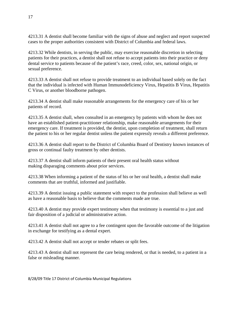4213.31 A dentist shall become familiar with the signs of abuse and neglect and report suspected cases to the proper authorities consistent with District of Columbia and federal laws.

4213.32 While dentists, in serving the public, may exercise reasonable discretion in selecting patients for their practices, a dentist shall not refuse to accept patients into their practice or deny dental service to patients because of the patient's race, creed, color, sex, national origin, or sexual preference.

4213.33 A dentist shall not refuse to provide treatment to an individual based solely on the fact that the individual is infected with Human Immunodeficiency Virus, Hepatitis B Virus, Hepatitis C Virus, or another bloodborne pathogen.

4213.34 A dentist shall make reasonable arrangements for the emergency care of his or her patients of record.

4213.35 A dentist shall, when consulted in an emergency by patients with whom he does not have an established patient-practitioner relationship, make reasonable arrangements for their emergency care. If treatment is provided, the dentist, upon completion of treatment, shall return the patient to his or her regular dentist unless the patient expressly reveals a different preference.

4213.36 A dentist shall report to the District of Columbia Board of Dentistry known instances of gross or continual faulty treatment by other dentists.

4213.37 A dentist shall inform patients of their present oral health status without making disparaging comments about prior services.

4213.38 When informing a patient of the status of his or her oral health, a dentist shall make comments that are truthful, informed and justifiable.

4213.39 A dentist issuing a public statement with respect to the profession shall believe as well as have a reasonable basis to believe that the comments made are true.

4213.40 A dentist may provide expert testimony when that testimony is essential to a just and fair disposition of a judicial or administrative action.

4213.41 A dentist shall not agree to a fee contingent upon the favorable outcome of the litigation in exchange for testifying as a dental expert.

4213.42 A dentist shall not accept or tender rebates or split fees.

4213.43 A dentist shall not represent the care being rendered, or that is needed, to a patient in a false or misleading manner.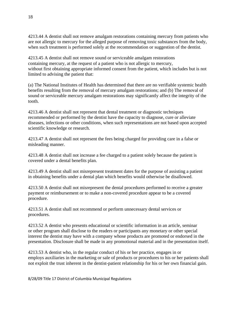4213.44 A dentist shall not remove amalgam restorations containing mercury from patients who are not allergic to mercury for the alleged purpose of removing toxic substances from the body, when such treatment is performed solely at the recommendation or suggestion of the dentist.

4213.45 A dentist shall not remove sound or serviceable amalgam restorations containing mercury, at the request of a patient who is not allergic to mercury, without first obtaining appropriate informed consent from the patient, which includes but is not limited to advising the patient that:

(a) The National Institutes of Health has determined that there are no verifiable systemic health benefits resulting from the removal of mercury amalgam restorations; and (b) The removal of sound or serviceable mercury amalgam restorations may significantly affect the integrity of the tooth.

4213.46 A dentist shall not represent that dental treatment or diagnostic techniques recommended or performed by the dentist have the capacity to diagnose, cure or alleviate diseases, infections or other conditions, when such representations are not based upon accepted scientific knowledge or research.

4213.47 A dentist shall not represent the fees being charged for providing care in a false or misleading manner.

4213.48 A dentist shall not increase a fee charged to a patient solely because the patient is covered under a dental benefits plan.

4213.49 A dentist shall not misrepresent treatment dates for the purpose of assisting a patient in obtaining benefits under a dental plan which benefits would otherwise be disallowed.

4213.50 A dentist shall not misrepresent the dental procedures performed to receive a greater payment or reimbursement or to make a non-covered procedure appear to be a covered procedure.

4213.51 A dentist shall not recommend or perform unnecessary dental services or procedures.

4213.52 A dentist who presents educational or scientific information in an article, seminar or other program shall disclose to the readers or participants any monetary or other special interest the dentist may have with a company whose products are promoted or endorsed in the presentation. Disclosure shall be made in any promotional material and in the presentation itself.

4213.53 A dentist who, in the regular conduct of his or her practice, engages in or employs auxiliaries in the marketing or sale of products or procedures to his or her patients shall not exploit the trust inherent in the dentist-patient relationship for his or her own financial gain.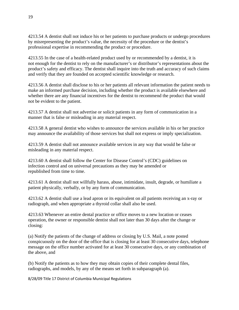4213.54 A dentist shall not induce his or her patients to purchase products or undergo procedures by misrepresenting the product's value, the necessity of the procedure or the dentist's professional expertise in recommending the product or procedure.

4213.55 In the case of a health-related product used by or recommended by a dentist, it is not enough for the dentist to rely on the manufacturer's or distributor's representations about the product's safety and efficacy. The dentist shall inquire into the truth and accuracy of such claims and verify that they are founded on accepted scientific knowledge or research.

4213.56 A dentist shall disclose to his or her patients all relevant information the patient needs to make an informed purchase decision, including whether the product is available elsewhere and whether there are any financial incentives for the dentist to recommend the product that would not be evident to the patient.

4213.57 A dentist shall not advertise or solicit patients in any form of communication in a manner that is false or misleading in any material respect.

4213.58 A general dentist who wishes to announce the services available in his or her practice may announce the availability of those services but shall not express or imply specialization.

4213.59 A dentist shall not announce available services in any way that would be false or misleading in any material respect.

4213.60 A dentist shall follow the Center for Disease Control's (CDC) guidelines on infection control and on universal precautions as they may be amended or republished from time to time.

4213.61 A dentist shall not willfully harass, abuse, intimidate, insult, degrade, or humiliate a patient physically, verbally, or by any form of communication.

4213.62 A dentist shall use a lead apron or its equivalent on all patients receiving an x-ray or radiograph, and when appropriate a thyroid collar shall also be used.

4213.63 Whenever an entire dental practice or office moves to a new location or ceases operation, the owner or responsible dentist shall not later than 30 days after the change or closing:

(a) Notify the patients of the change of address or closing by U.S. Mail, a note posted conspicuously on the door of the office that is closing for at least 30 consecutive days, telephone message on the office number activated for at least 30 consecutive days, or any combination of the above, and

(b) Notify the patients as to how they may obtain copies of their complete dental files, radiographs, and models, by any of the means set forth in subparagraph (a).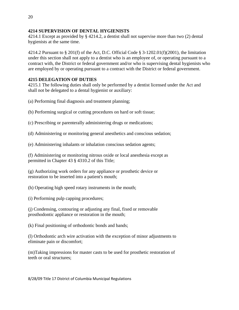## **4214 SUPERVISION OF DENTAL HYGIENISTS**

4214.1 Except as provided by § 4214.2, a dentist shall not supervise more than two (2) dental hygienists at the same time.

4214.2 Pursuant to § 201(f) of the Act, D.C. Official Code § 3-1202.01(f)(2001), the limitation under this section shall not apply to a dentist who is an employee of, or operating pursuant to a contract with, the District or federal government and/or who is supervising dental hygienists who are employed by or operating pursuant to a contract with the District or federal government.

# **4215 DELEGATION OF DUTIES**

4215.1 The following duties shall only be performed by a dentist licensed under the Act and shall not be delegated to a dental hygienist or auxiliary:

- (a) Performing final diagnosis and treatment planning;
- (b) Performing surgical or cutting procedures on hard or soft tissue;
- (c) Prescribing or parenterally administering drugs or medications;
- (d) Administering or monitoring general anesthetics and conscious sedation;
- (e) Administering inhalants or inhalation conscious sedation agents;
- (f) Administering or monitoring nitrous oxide or local anesthesia except as permitted in Chapter 43 § 4310.2 of this Title;
- (g) Authorizing work orders for any appliance or prosthetic device or restoration to be inserted into a patient's mouth;
- (h) Operating high speed rotary instruments in the mouth;
- (i) Performing pulp capping procedures;
- (j) Condensing, contouring or adjusting any final, fixed or removable prosthodontic appliance or restoration in the mouth;
- (k) Final positioning of orthodontic bonds and bands;
- (l) Orthodontic arch wire activation with the exception of minor adjustments to eliminate pain or discomfort;
- (m)Taking impressions for master casts to be used for prosthetic restoration of teeth or oral structures;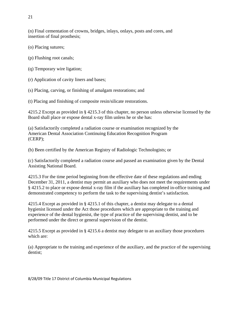(n) Final cementation of crowns, bridges, inlays, onlays, posts and cores, and insertion of final prosthesis;

(o) Placing sutures;

(p) Flushing root canals;

(q) Temporary wire ligation;

(r) Application of cavity liners and bases;

(s) Placing, carving, or finishing of amalgam restorations; and

(t) Placing and finishing of composite resin/silicate restorations.

4215.2 Except as provided in § 4215.3 of this chapter, no person unless otherwise licensed by the Board shall place or expose dental x-ray film unless he or she has:

(a) Satisfactorily completed a radiation course or examination recognized by the American Dental Association Continuing Education Recognition Program (CERP);

(b) Been certified by the American Registry of Radiologic Technologists; or

(c) Satisfactorily completed a radiation course and passed an examination given by the Dental Assisting National Board.

4215.3 For the time period beginning from the effective date of these regulations and ending December 31, 2011, a dentist may permit an auxiliary who does not meet the requirements under § 4215.2 to place or expose dental x-ray film if the auxiliary has completed in-office training and demonstrated competency to perform the task to the supervising dentist's satisfaction.

4215.4 Except as provided in § 4215.1 of this chapter, a dentist may delegate to a dental hygienist licensed under the Act those procedures which are appropriate to the training and experience of the dental hygienist, the type of practice of the supervising dentist, and to be performed under the direct or general supervision of the dentist.

4215.5 Except as provided in § 4215.6 a dentist may delegate to an auxiliary those procedures which are:

(a) Appropriate to the training and experience of the auxiliary, and the practice of the supervising dentist;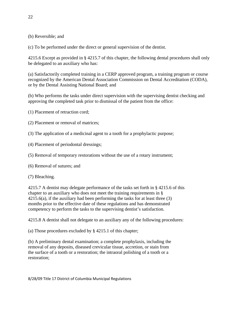(b) Reversible; and

(c) To be performed under the direct or general supervision of the dentist.

4215.6 Except as provided in § 4215.7 of this chapter, the following dental procedures shall only be delegated to an auxiliary who has:

(a) Satisfactorily completed training in a CERP approved program, a training program or course recognized by the American Dental Association Commission on Dental Accreditation (CODA), or by the Dental Assisting National Board; and

(b) Who performs the tasks under direct supervision with the supervising dentist checking and approving the completed task prior to dismissal of the patient from the office:

(1) Placement of retraction cord;

(2) Placement or removal of matrices;

(3) The application of a medicinal agent to a tooth for a prophylactic purpose;

(4) Placement of periodontal dressings;

(5) Removal of temporary restorations without the use of a rotary instrument;

(6) Removal of sutures; and

(7) Bleaching.

4215.7 A dentist may delegate performance of the tasks set forth in § 4215.6 of this chapter to an auxiliary who does not meet the training requirements in §  $4215.6(a)$ , if the auxiliary had been performing the tasks for at least three (3) months prior to the effective date of these regulations and has demonstrated competency to perform the tasks to the supervising dentist's satisfaction.

4215.8 A dentist shall not delegate to an auxiliary any of the following procedures:

(a) Those procedures excluded by § 4215.1 of this chapter;

(b) A preliminary dental examination; a complete prophylaxis, including the removal of any deposits, diseased crevicular tissue, accretion, or stain from the surface of a tooth or a restoration; the intraoral polishing of a tooth or a restoration;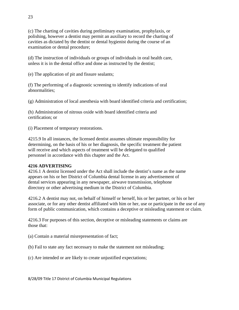(c) The charting of cavities during preliminary examination, prophylaxis, or polishing, however a dentist may permit an auxiliary to record the charting of cavities as dictated by the dentist or dental hygienist during the course of an examination or dental procedure;

(d) The instruction of individuals or groups of individuals in oral health care, unless it is in the dental office and done as instructed by the dentist;

(e) The application of pit and fissure sealants;

(f) The performing of a diagnostic screening to identify indications of oral abnormalities;

(g) Administration of local anesthesia with board identified criteria and certification;

(h) Administration of nitrous oxide with board identified criteria and certification; or

(i) Placement of temporary restorations.

4215.9 In all instances, the licensed dentist assumes ultimate responsibility for determining, on the basis of his or her diagnosis, the specific treatment the patient will receive and which aspects of treatment will be delegated to qualified personnel in accordance with this chapter and the Act.

## **4216 ADVERTISING**

4216.1 A dentist licensed under the Act shall include the dentist's name as the name appears on his or her District of Columbia dental license in any advertisement of dental services appearing in any newspaper, airwave transmission, telephone directory or other advertising medium in the District of Columbia.

4216.2 A dentist may not, on behalf of himself or herself, his or her partner, or his or her associate, or for any other dentist affiliated with him or her, use or participate in the use of any form of public communication, which contains a deceptive or misleading statement or claim.

4216.3 For purposes of this section, deceptive or misleading statements or claims are those that:

(a) Contain a material misrepresentation of fact;

(b) Fail to state any fact necessary to make the statement not misleading;

(c) Are intended or are likely to create unjustified expectations;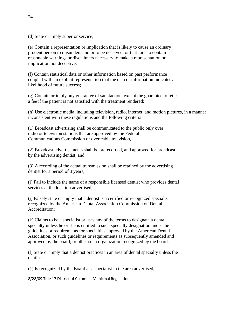(d) State or imply superior service;

(e) Contain a representation or implication that is likely to cause an ordinary prudent person to misunderstand or to be deceived, or that fails to contain reasonable warnings or disclaimers necessary to make a representation or implication not deceptive;

(f) Contain statistical data or other information based on past performance coupled with an explicit representation that the data or information indicates a likelihood of future success;

(g) Contain or imply any guarantee of satisfaction, except the guarantee to return a fee if the patient is not satisfied with the treatment rendered;

(h) Use electronic media, including television, radio, internet, and motion pictures, in a manner inconsistent with these regulations and the following criteria:

(1) Broadcast advertising shall be communicated to the public only over radio or television stations that are approved by the Federal Communications Commission or over cable television,

(2) Broadcast advertisements shall be prerecorded, and approved for broadcast by the advertising dentist, and

(3) A recording of the actual transmission shall be retained by the advertising dentist for a period of 3 years;

(i) Fail to include the name of a responsible licensed dentist who provides dental services at the location advertised;

(j) Falsely state or imply that a dentist is a certified or recognized specialist recognized by the American Dental Association Commission on Dental Accreditation;

(k) Claims to be a specialist or uses any of the terms to designate a dental specialty unless he or she is entitled to such specialty designation under the guidelines or requirements for specialties approved by the American Dental Association, or such guidelines or requirements as subsequently amended and approved by the board, or other such organization recognized by the board.

(l) State or imply that a dentist practices in an area of dental specialty unless the dentist:

(1) Is recognized by the Board as a specialist in the area advertised,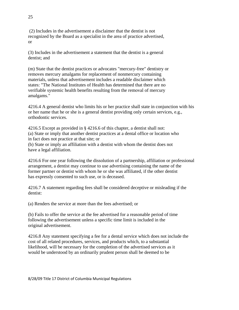(2) Includes in the advertisement a disclaimer that the dentist is not recognized by the Board as a specialist in the area of practice advertised, or

(3) Includes in the advertisement a statement that the dentist is a general dentist; and

(m) State that the dentist practices or advocates "mercury-free" dentistry or removes mercury amalgams for replacement of nonmercury containing materials, unless that advertisement includes a readable disclaimer which states: "The National Institutes of Health has determined that there are no verifiable systemic health benefits resulting from the removal of mercury amalgams."

4216.4 A general dentist who limits his or her practice shall state in conjunction with his or her name that he or she is a general dentist providing only certain services, e.g., orthodontic services.

4216.5 Except as provided in § 4216.6 of this chapter, a dentist shall not: (a) State or imply that another dentist practices at a dental office or location who in fact does not practice at that site; or

(b) State or imply an affiliation with a dentist with whom the dentist does not have a legal affiliation.

4216.6 For one year following the dissolution of a partnership, affiliation or professional arrangement, a dentist may continue to use advertising containing the name of the former partner or dentist with whom he or she was affiliated, if the other dentist has expressly consented to such use, or is deceased.

4216.7 A statement regarding fees shall be considered deceptive or misleading if the dentist:

(a) Renders the service at more than the fees advertised; or

(b) Fails to offer the service at the fee advertised for a reasonable period of time following the advertisement unless a specific time limit is included in the original advertisement.

4216.8 Any statement specifying a fee for a dental service which does not include the cost of all related procedures, services, and products which, to a substantial likelihood, will be necessary for the completion of the advertised services as it would be understood by an ordinarily prudent person shall be deemed to be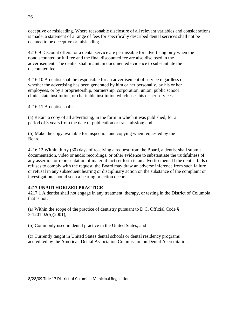deceptive or misleading. Where reasonable disclosure of all relevant variables and considerations is made, a statement of a range of fees for specifically described dental services shall not be deemed to be deceptive or misleading.

4216.9 Discount offers for a dental service are permissible for advertising only when the nondiscounted or full fee and the final discounted fee are also disclosed in the advertisement. The dentist shall maintain documented evidence to substantiate the discounted fee.

4216.10 A dentist shall be responsible for an advertisement of service regardless of whether the advertising has been generated by him or her personally, by his or her employees, or by a proprietorship, partnership, corporation, union, public school clinic, state institution, or charitable institution which uses his or her services.

4216.11 A dentist shall:

(a) Retain a copy of all advertising, in the form in which it was published, for a period of 3 years from the date of publication or transmission; and

(b) Make the copy available for inspection and copying when requested by the Board.

4216.12 Within thirty (30) days of receiving a request from the Board, a dentist shall submit documentation, video or audio recordings, or other evidence to substantiate the truthfulness of any assertion or representation of material fact set forth in an advertisement. If the dentist fails or refuses to comply with the request, the Board may draw an adverse inference from such failure or refusal in any subsequent hearing or disciplinary action on the substance of the complaint or investigation, should such a hearing or action occur.

## **4217 UNAUTHORIZED PRACTICE**

4217.1 A dentist shall not engage in any treatment, therapy, or testing in the District of Columbia that is not:

(a) Within the scope of the practice of dentistry pursuant to D.C. Official Code § 3-1201.02(5)(2001);

(b) Commonly used in dental practice in the United States; and

(c) Currently taught in United States dental schools or dental residency programs accredited by the American Dental Association Commission on Dental Accreditation.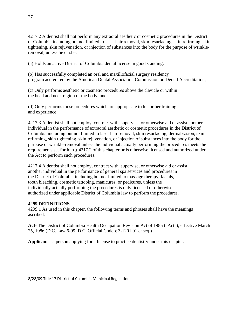4217.2 A dentist shall not perform any extraoral aesthetic or cosmetic procedures in the District of Columbia including but not limited to laser hair removal, skin resurfacing, skin refirming, skin tightening, skin rejuvenation, or injection of substances into the body for the purpose of wrinkleremoval, unless he or she:

(a) Holds an active District of Columbia dental license in good standing;

(b) Has successfully completed an oral and maxillofacial surgery residency program accredited by the American Dental Association Commission on Dental Accreditation;

(c) Only performs aesthetic or cosmetic procedures above the clavicle or within the head and neck region of the body; and

(d) Only performs those procedures which are appropriate to his or her training and experience.

4217.3 A dentist shall not employ, contract with, supervise, or otherwise aid or assist another individual in the performance of extraoral aesthetic or cosmetic procedures in the District of Columbia including but not limited to laser hair removal, skin resurfacing, dermabrasion, skin refirming, skin tightening, skin rejuvenation, or injection of substances into the body for the purpose of wrinkle-removal unless the individual actually performing the procedures meets the requirements set forth in § 4217.2 of this chapter or is otherwise licensed and authorized under the Act to perform such procedures.

4217.4 A dentist shall not employ, contract with, supervise, or otherwise aid or assist another individual in the performance of general spa services and procedures in the District of Columbia including but not limited to massage therapy, facials, tooth bleaching, cosmetic tattooing, manicures, or pedicures, unless the individually actually performing the procedures is duly licensed or otherwise authorized under applicable District of Columbia law to perform the procedures.

# **4299 DEFINITIONS**

4299.1 As used in this chapter, the following terms and phrases shall have the meanings ascribed:

**Act-** The District of Columbia Health Occupation Revision Act of 1985 ("Act"), effective March 25, 1986 (D.C. Law 6-99; D.C. Official Code § 3-1201.01 et seq.)

**Applicant –** a person applying for a license to practice dentistry under this chapter.